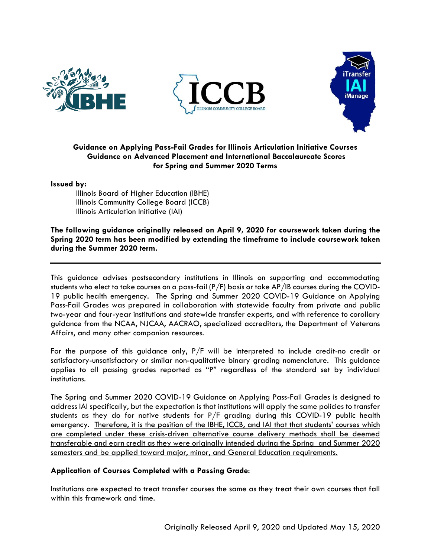





# **Guidance on Applying Pass-Fail Grades for Illinois Articulation Initiative Courses Guidance on Advanced Placement and International Baccalaureate Scores for Spring and Summer 2020 Terms**

## **Issued by:**

Illinois Board of Higher Education (IBHE) Illinois Community College Board (ICCB) Illinois Articulation Initiative (IAI)

**The following guidance originally released on April 9, 2020 for coursework taken during the Spring 2020 term has been modified by extending the timeframe to include coursework taken during the Summer 2020 term.** 

This guidance advises postsecondary institutions in Illinois on supporting and accommodating students who elect to take courses on a pass-fail (P/F) basis or take AP/IB courses during the COVID-19 public health emergency. The Spring and Summer 2020 COVID-19 Guidance on Applying Pass-Fail Grades was prepared in collaboration with statewide faculty from private and public two-year and four-year institutions and statewide transfer experts, and with reference to corollary guidance from the NCAA, NJCAA, AACRAO, specialized accreditors, the Department of Veterans Affairs, and many other companion resources.

For the purpose of this guidance only, P/F will be interpreted to include credit-no credit or satisfactory-unsatisfactory or similar non-qualitative binary grading nomenclature. This guidance applies to all passing grades reported as "P" regardless of the standard set by individual institutions.

The Spring and Summer 2020 COVID-19 Guidance on Applying Pass-Fail Grades is designed to address IAI specifically, but the expectation is that institutions will apply the same policies to transfer students as they do for native students for P/F grading during this COVID-19 public health emergency. Therefore, it is the position of the IBHE, ICCB, and IAI that that students' courses which are completed under these crisis-driven alternative course delivery methods shall be deemed transferable and earn credit as they were originally intended during the Spring and Summer 2020 semesters and be applied toward major, minor, and General Education requirements.

## **Application of Courses Completed with a Passing Grade**:

Institutions are expected to treat transfer courses the same as they treat their own courses that fall within this framework and time.